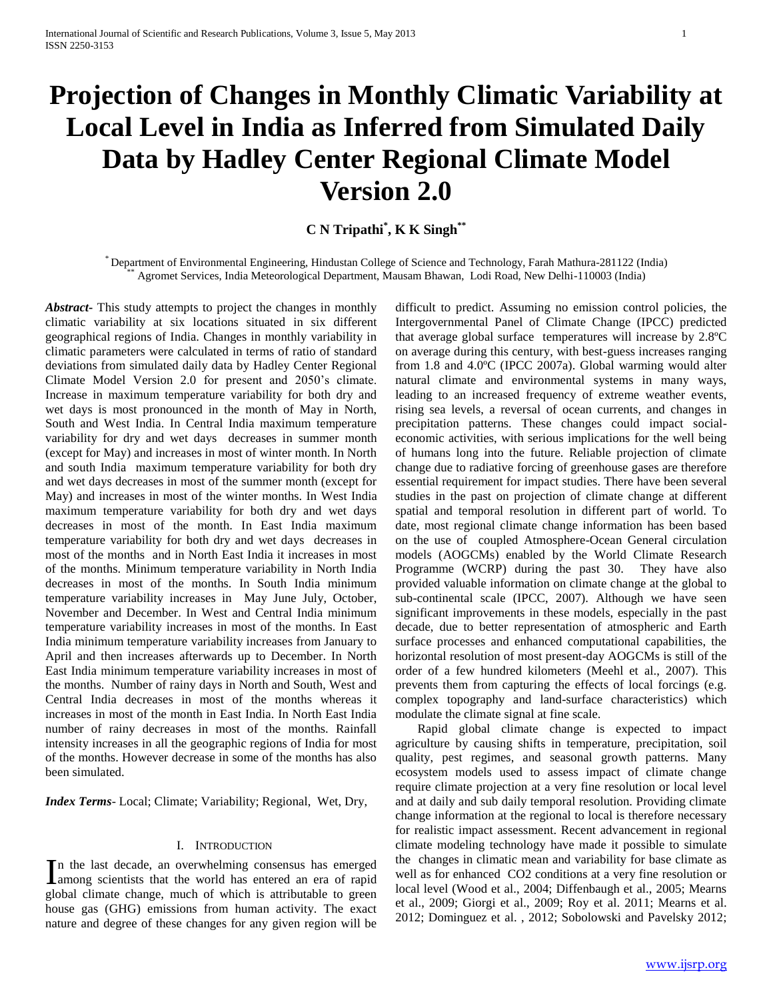# **Projection of Changes in Monthly Climatic Variability at Local Level in India as Inferred from Simulated Daily Data by Hadley Center Regional Climate Model Version 2.0**

**C N Tripathi\* , K K Singh\*\***

\* Department of Environmental Engineering, Hindustan College of Science and Technology, Farah Mathura-281122 (India) \*\* Agromet Services, India Meteorological Department, Mausam Bhawan, Lodi Road, New Delhi-110003 (India)

*Abstract***-** This study attempts to project the changes in monthly climatic variability at six locations situated in six different geographical regions of India. Changes in monthly variability in climatic parameters were calculated in terms of ratio of standard deviations from simulated daily data by Hadley Center Regional Climate Model Version 2.0 for present and 2050's climate. Increase in maximum temperature variability for both dry and wet days is most pronounced in the month of May in North, South and West India. In Central India maximum temperature variability for dry and wet days decreases in summer month (except for May) and increases in most of winter month. In North and south India maximum temperature variability for both dry and wet days decreases in most of the summer month (except for May) and increases in most of the winter months. In West India maximum temperature variability for both dry and wet days decreases in most of the month. In East India maximum temperature variability for both dry and wet days decreases in most of the months and in North East India it increases in most of the months. Minimum temperature variability in North India decreases in most of the months. In South India minimum temperature variability increases in May June July, October, November and December. In West and Central India minimum temperature variability increases in most of the months. In East India minimum temperature variability increases from January to April and then increases afterwards up to December. In North East India minimum temperature variability increases in most of the months. Number of rainy days in North and South, West and Central India decreases in most of the months whereas it increases in most of the month in East India. In North East India number of rainy decreases in most of the months. Rainfall intensity increases in all the geographic regions of India for most of the months. However decrease in some of the months has also been simulated.

*Index Terms*- Local; Climate; Variability; Regional, Wet, Dry,

## I. INTRODUCTION

n the last decade, an overwhelming consensus has emerged In the last decade, an overwhelming consensus has emerged among scientists that the world has entered an era of rapid global climate change, much of which is attributable to green house gas (GHG) emissions from human activity. The exact nature and degree of these changes for any given region will be

difficult to predict. Assuming no emission control policies, the Intergovernmental Panel of Climate Change (IPCC) predicted that average global surface temperatures will increase by 2.8ºC on average during this century, with best-guess increases ranging from 1.8 and 4.0ºC (IPCC 2007a). Global warming would alter natural climate and environmental systems in many ways, leading to an increased frequency of extreme weather events, rising sea levels, a reversal of ocean currents, and changes in precipitation patterns. These changes could impact socialeconomic activities, with serious implications for the well being of humans long into the future. Reliable projection of climate change due to radiative forcing of greenhouse gases are therefore essential requirement for impact studies. There have been several studies in the past on projection of climate change at different spatial and temporal resolution in different part of world. To date, most regional climate change information has been based on the use of coupled Atmosphere-Ocean General circulation models (AOGCMs) enabled by the World Climate Research Programme (WCRP) during the past 30. They have also provided valuable information on climate change at the global to sub-continental scale (IPCC, 2007). Although we have seen significant improvements in these models, especially in the past decade, due to better representation of atmospheric and Earth surface processes and enhanced computational capabilities, the horizontal resolution of most present-day AOGCMs is still of the order of a few hundred kilometers (Meehl et al., 2007). This prevents them from capturing the effects of local forcings (e.g. complex topography and land-surface characteristics) which modulate the climate signal at fine scale.

 Rapid global climate change is expected to impact agriculture by causing shifts in temperature, precipitation, soil quality, pest regimes, and seasonal growth patterns. Many ecosystem models used to assess impact of climate change require climate projection at a very fine resolution or local level and at daily and sub daily temporal resolution. Providing climate change information at the regional to local is therefore necessary for realistic impact assessment. Recent advancement in regional climate modeling technology have made it possible to simulate the changes in climatic mean and variability for base climate as well as for enhanced CO2 conditions at a very fine resolution or local level (Wood et al., 2004; Diffenbaugh et al., 2005; Mearns et al., 2009; Giorgi et al., 2009; Roy et al. 2011; Mearns et al. 2012; Dominguez et al. , 2012; Sobolowski and Pavelsky 2012;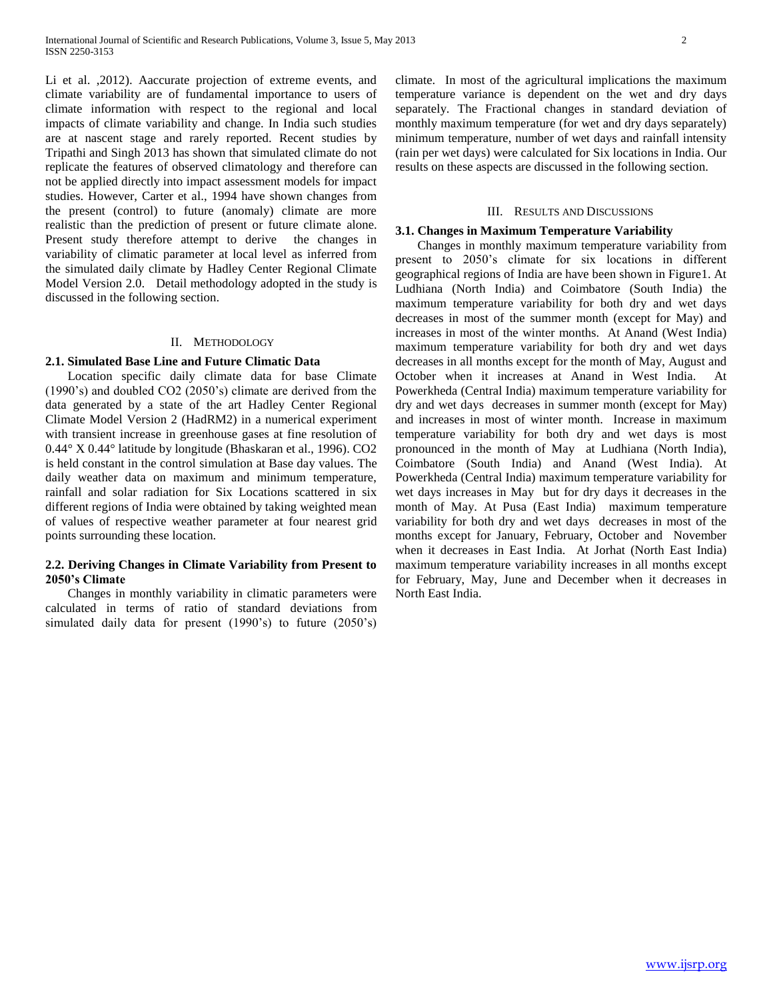Li et al. ,2012). Aaccurate projection of extreme events, and climate variability are of fundamental importance to users of climate information with respect to the regional and local impacts of climate variability and change. In India such studies are at nascent stage and rarely reported. Recent studies by Tripathi and Singh 2013 has shown that simulated climate do not replicate the features of observed climatology and therefore can not be applied directly into impact assessment models for impact studies. However, Carter et al., 1994 have shown changes from the present (control) to future (anomaly) climate are more realistic than the prediction of present or future climate alone. Present study therefore attempt to derive the changes in variability of climatic parameter at local level as inferred from the simulated daily climate by Hadley Center Regional Climate Model Version 2.0. Detail methodology adopted in the study is discussed in the following section.

#### II. METHODOLOGY

## **2.1. Simulated Base Line and Future Climatic Data**

 Location specific daily climate data for base Climate (1990's) and doubled CO2 (2050's) climate are derived from the data generated by a state of the art Hadley Center Regional Climate Model Version 2 (HadRM2) in a numerical experiment with transient increase in greenhouse gases at fine resolution of 0.44° X 0.44° latitude by longitude (Bhaskaran et al., 1996). CO2 is held constant in the control simulation at Base day values. The daily weather data on maximum and minimum temperature, rainfall and solar radiation for Six Locations scattered in six different regions of India were obtained by taking weighted mean of values of respective weather parameter at four nearest grid points surrounding these location.

# **2.2. Deriving Changes in Climate Variability from Present to 2050's Climate**

 Changes in monthly variability in climatic parameters were calculated in terms of ratio of standard deviations from simulated daily data for present (1990's) to future (2050's) climate. In most of the agricultural implications the maximum temperature variance is dependent on the wet and dry days separately. The Fractional changes in standard deviation of monthly maximum temperature (for wet and dry days separately) minimum temperature, number of wet days and rainfall intensity (rain per wet days) were calculated for Six locations in India. Our results on these aspects are discussed in the following section.

#### III. RESULTS AND DISCUSSIONS

#### **3.1. Changes in Maximum Temperature Variability**

 Changes in monthly maximum temperature variability from present to 2050's climate for six locations in different geographical regions of India are have been shown in Figure1. At Ludhiana (North India) and Coimbatore (South India) the maximum temperature variability for both dry and wet days decreases in most of the summer month (except for May) and increases in most of the winter months. At Anand (West India) maximum temperature variability for both dry and wet days decreases in all months except for the month of May, August and October when it increases at Anand in West India. At Powerkheda (Central India) maximum temperature variability for dry and wet days decreases in summer month (except for May) and increases in most of winter month. Increase in maximum temperature variability for both dry and wet days is most pronounced in the month of May at Ludhiana (North India), Coimbatore (South India) and Anand (West India). At Powerkheda (Central India) maximum temperature variability for wet days increases in May but for dry days it decreases in the month of May. At Pusa (East India) maximum temperature variability for both dry and wet days decreases in most of the months except for January, February, October and November when it decreases in East India. At Jorhat (North East India) maximum temperature variability increases in all months except for February, May, June and December when it decreases in North East India.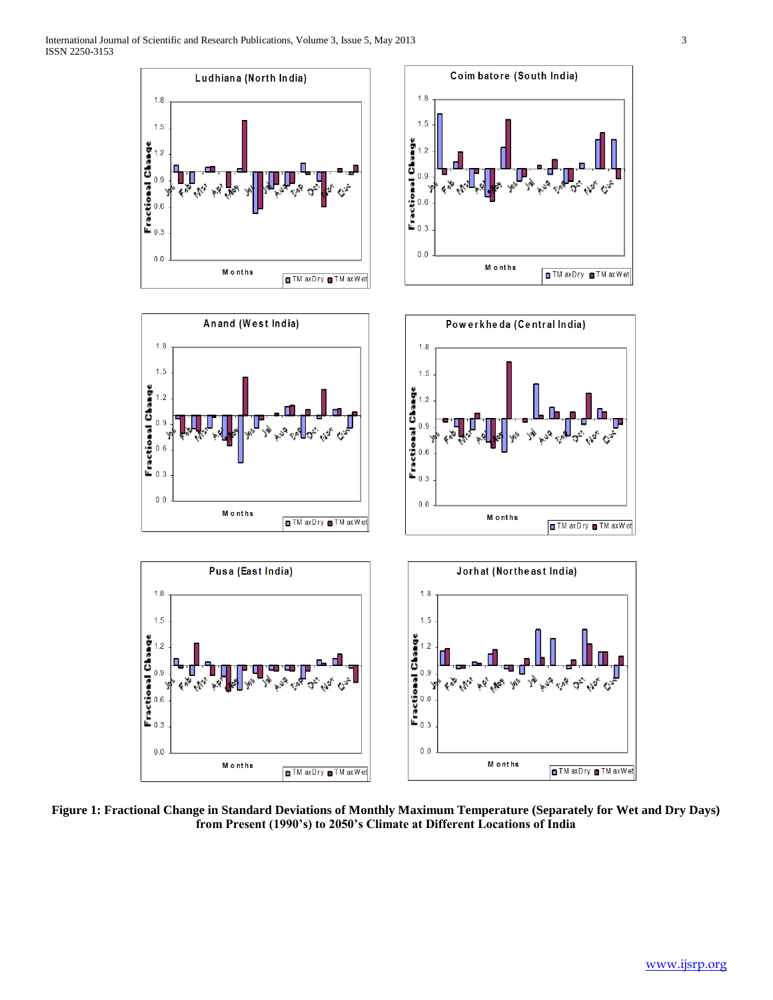

**Figure 1: Fractional Change in Standard Deviations of Monthly Maximum Temperature (Separately for Wet and Dry Days) from Present (1990's) to 2050's Climate at Different Locations of India**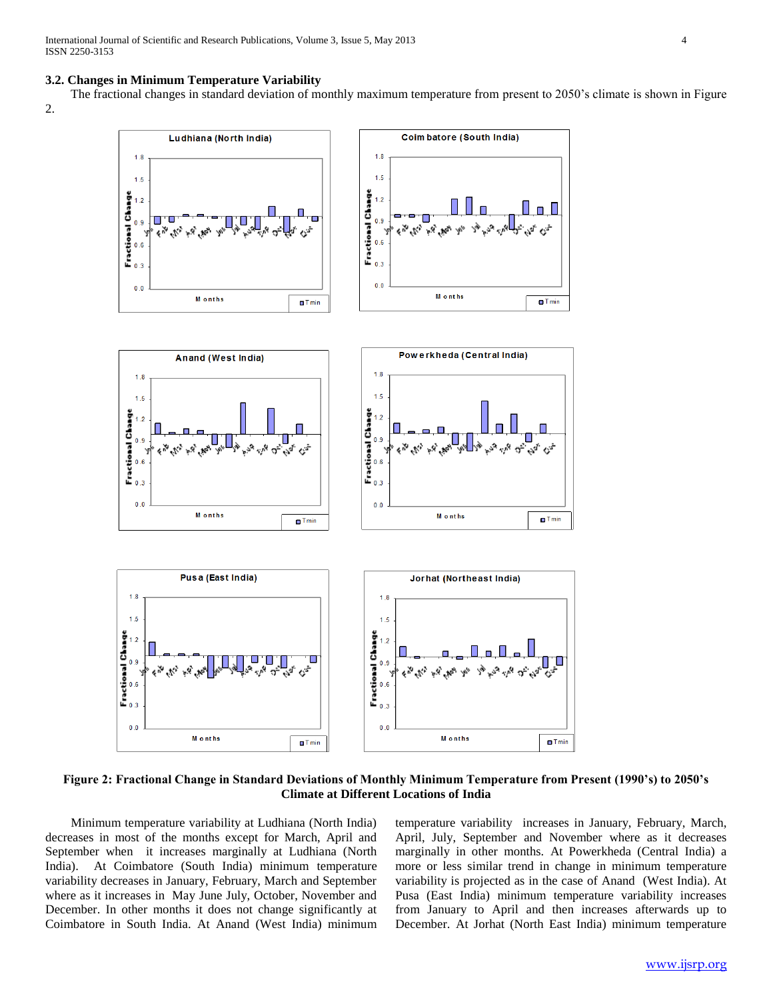## **3.2. Changes in Minimum Temperature Variability**

 The fractional changes in standard deviation of monthly maximum temperature from present to 2050's climate is shown in Figure 2.



**Figure 2: Fractional Change in Standard Deviations of Monthly Minimum Temperature from Present (1990's) to 2050's Climate at Different Locations of India**

 Minimum temperature variability at Ludhiana (North India) decreases in most of the months except for March, April and September when it increases marginally at Ludhiana (North India). At Coimbatore (South India) minimum temperature variability decreases in January, February, March and September where as it increases in May June July, October, November and December. In other months it does not change significantly at Coimbatore in South India. At Anand (West India) minimum temperature variability increases in January, February, March, April, July, September and November where as it decreases marginally in other months. At Powerkheda (Central India) a more or less similar trend in change in minimum temperature variability is projected as in the case of Anand (West India). At Pusa (East India) minimum temperature variability increases from January to April and then increases afterwards up to December. At Jorhat (North East India) minimum temperature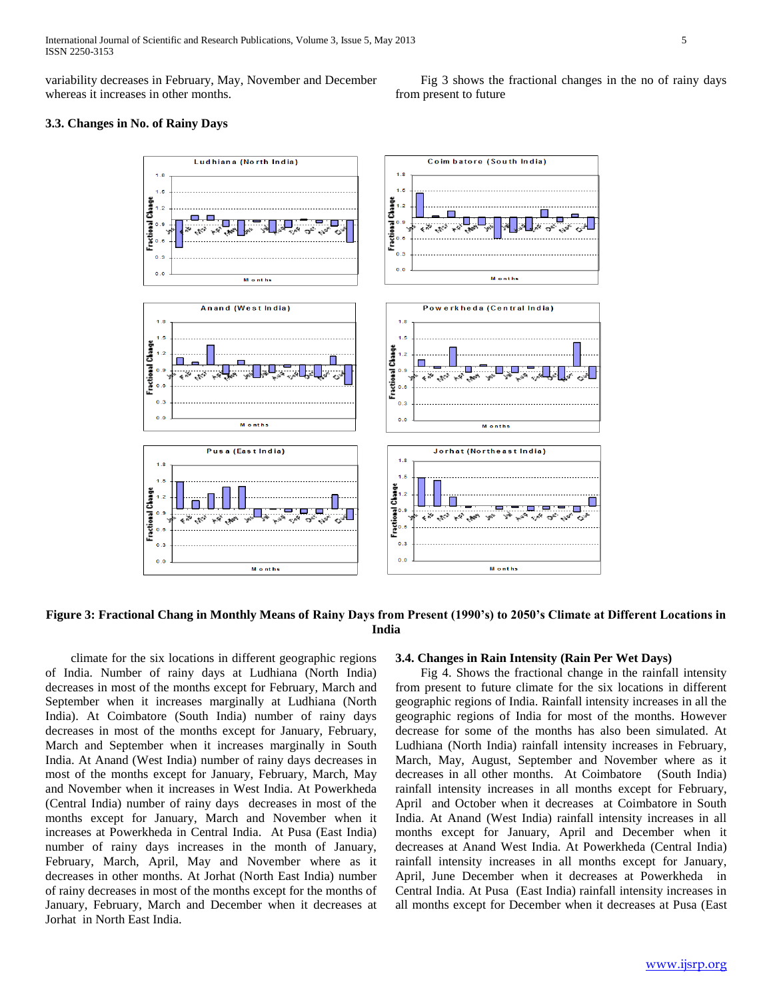variability decreases in February, May, November and December whereas it increases in other months.

 Fig 3 shows the fractional changes in the no of rainy days from present to future

## **3.3. Changes in No. of Rainy Days**



## **Figure 3: Fractional Chang in Monthly Means of Rainy Days from Present (1990's) to 2050's Climate at Different Locations in India**

 climate for the six locations in different geographic regions of India. Number of rainy days at Ludhiana (North India) decreases in most of the months except for February, March and September when it increases marginally at Ludhiana (North India). At Coimbatore (South India) number of rainy days decreases in most of the months except for January, February, March and September when it increases marginally in South India. At Anand (West India) number of rainy days decreases in most of the months except for January, February, March, May and November when it increases in West India. At Powerkheda (Central India) number of rainy days decreases in most of the months except for January, March and November when it increases at Powerkheda in Central India. At Pusa (East India) number of rainy days increases in the month of January, February, March, April, May and November where as it decreases in other months. At Jorhat (North East India) number of rainy decreases in most of the months except for the months of January, February, March and December when it decreases at Jorhat in North East India.

### **3.4. Changes in Rain Intensity (Rain Per Wet Days)**

 Fig 4. Shows the fractional change in the rainfall intensity from present to future climate for the six locations in different geographic regions of India. Rainfall intensity increases in all the geographic regions of India for most of the months. However decrease for some of the months has also been simulated. At Ludhiana (North India) rainfall intensity increases in February, March, May, August, September and November where as it decreases in all other months. At Coimbatore (South India) rainfall intensity increases in all months except for February, April and October when it decreases at Coimbatore in South India. At Anand (West India) rainfall intensity increases in all months except for January, April and December when it decreases at Anand West India. At Powerkheda (Central India) rainfall intensity increases in all months except for January, April, June December when it decreases at Powerkheda in Central India. At Pusa (East India) rainfall intensity increases in all months except for December when it decreases at Pusa (East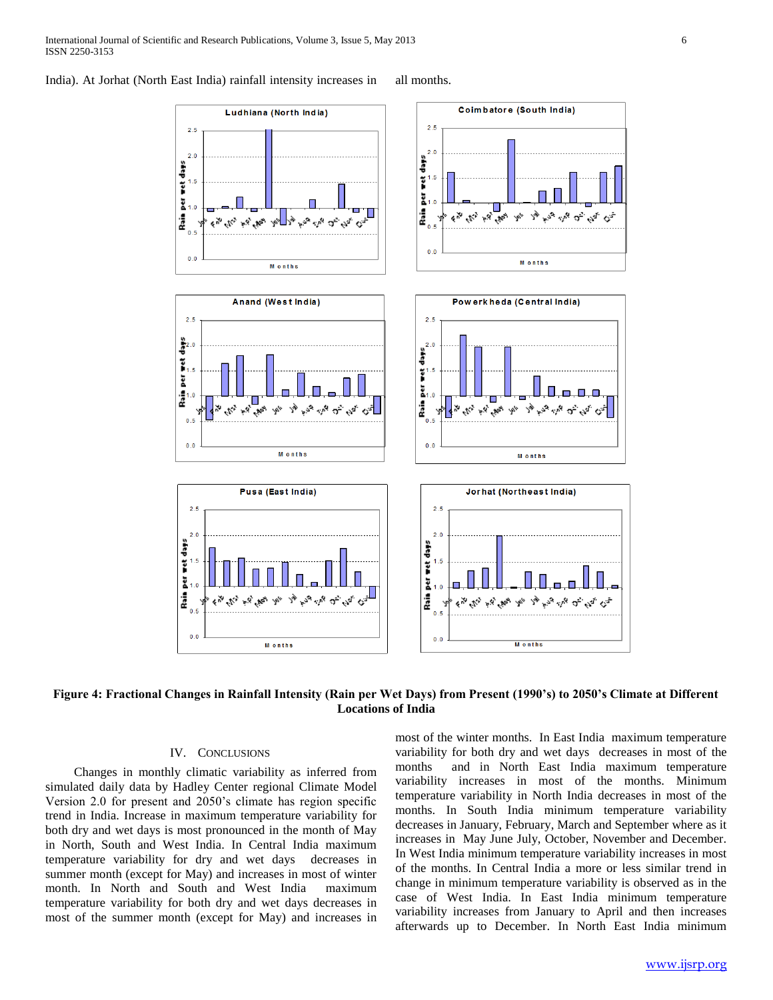



# **Figure 4: Fractional Changes in Rainfall Intensity (Rain per Wet Days) from Present (1990's) to 2050's Climate at Different Locations of India**

## IV. CONCLUSIONS

 Changes in monthly climatic variability as inferred from simulated daily data by Hadley Center regional Climate Model Version 2.0 for present and 2050's climate has region specific trend in India. Increase in maximum temperature variability for both dry and wet days is most pronounced in the month of May in North, South and West India. In Central India maximum temperature variability for dry and wet days decreases in summer month (except for May) and increases in most of winter month. In North and South and West India maximum temperature variability for both dry and wet days decreases in most of the summer month (except for May) and increases in most of the winter months. In East India maximum temperature variability for both dry and wet days decreases in most of the months and in North East India maximum temperature variability increases in most of the months. Minimum temperature variability in North India decreases in most of the months. In South India minimum temperature variability decreases in January, February, March and September where as it increases in May June July, October, November and December. In West India minimum temperature variability increases in most of the months. In Central India a more or less similar trend in change in minimum temperature variability is observed as in the case of West India. In East India minimum temperature variability increases from January to April and then increases afterwards up to December. In North East India minimum